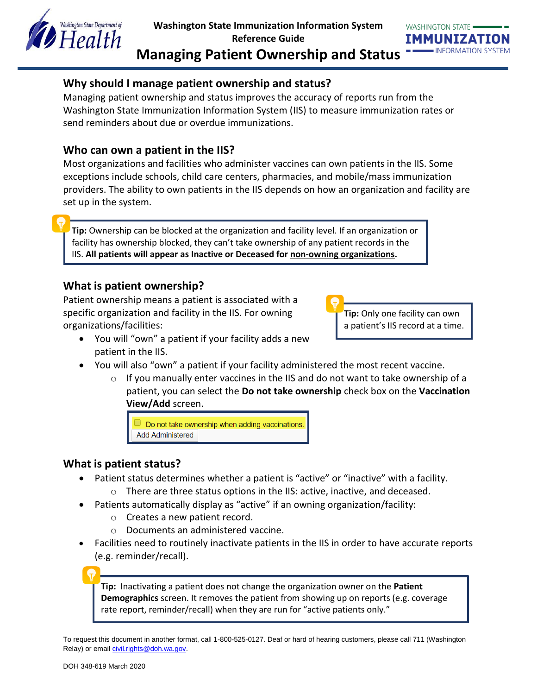



# **Why should I manage patient ownership and status?**

Managing patient ownership and status improves the accuracy of reports run from the Washington State Immunization Information System (IIS) to measure immunization rates or send reminders about due or overdue immunizations.

# **Who can own a patient in the IIS?**

Most organizations and facilities who administer vaccines can own patients in the IIS. Some exceptions include schools, child care centers, pharmacies, and mobile/mass immunization providers. The ability to own patients in the IIS depends on how an organization and facility are set up in the system.

**Tip:** Ownership can be blocked at the organization and facility level. If an organization or facility has ownership blocked, they can't take ownership of any patient records in the IIS. **All patients will appear as Inactive or Deceased for non-owning organizations.**

## **What is patient ownership?**

Patient ownership means a patient is associated with a specific organization and facility in the IIS. For owning organizations/facilities:

**Tip:** Only one facility can own a patient's IIS record at a time.

- You will "own" a patient if your facility adds a new patient in the IIS.
- You will also "own" a patient if your facility administered the most recent vaccine.
	- $\circ$  If you manually enter vaccines in the IIS and do not want to take ownership of a patient, you can select the **Do not take ownership** check box on the **Vaccination View/Add** screen.

Do not take ownership when adding vaccinations. **Add Administered** 

# **What is patient status?**

- Patient status determines whether a patient is "active" or "inactive" with a facility. o There are three status options in the IIS: active, inactive, and deceased.
- Patients automatically display as "active" if an owning organization/facility:
	- o Creates a new patient record.
	- o Documents an administered vaccine.
- Facilities need to routinely inactivate patients in the IIS in order to have accurate reports (e.g. reminder/recall).

**Tip:** Inactivating a patient does not change the organization owner on the **Patient Demographics** screen. It removes the patient from showing up on reports (e.g. coverage rate report, reminder/recall) when they are run for "active patients only."

To request this document in another format, call 1-800-525-0127. Deaf or hard of hearing customers, please call 711 (Washington Relay) or email [civil.rights@doh.wa.gov.](mailto:civil.rights@doh.wa.gov)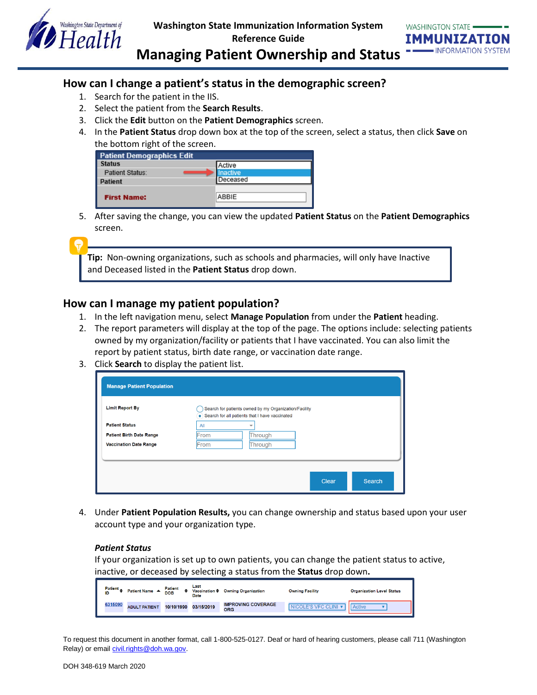



**Managing Patient Ownership and Status**

### **How can I change a patient's status in the demographic screen?**

- 1. Search for the patient in the IIS.
- 2. Select the patient from the **Search Results**.
- 3. Click the **Edit** button on the **Patient Demographics** screen.
- 4. In the **Patient Status** drop down box at the top of the screen, select a status, then click **Save** on the bottom right of the screen.

| <b>Patient Demographics Edit</b> |                 |
|----------------------------------|-----------------|
| <b>Status</b>                    | Active          |
| <b>Patient Status:</b>           | <b>Inactive</b> |
| <b>Patient</b>                   | Deceased        |
| <b>First Name:</b>               | ABBIE           |

5. After saving the change, you can view the updated **Patient Status** on the **Patient Demographics** screen.

**Tip:** Non-owning organizations, such as schools and pharmacies, will only have Inactive and Deceased listed in the **Patient Status** drop down.

### **How can I manage my patient population?**

- 1. In the left navigation menu, select **Manage Population** from under the **Patient** heading.
- 2. The report parameters will display at the top of the page. The options include: selecting patients owned by my organization/facility or patients that I have vaccinated. You can also limit the report by patient status, birth date range, or vaccination date range.
- 3. Click **Search** to display the patient list.

| <b>Manage Patient Population</b> |                                                                                                           |
|----------------------------------|-----------------------------------------------------------------------------------------------------------|
| <b>Limit Report By</b>           | Search for patients owned by my Organization/Facility<br>• Search for all patients that I have vaccinated |
| <b>Patient Status</b>            | All<br>÷                                                                                                  |
| <b>Patient Birth Date Range</b>  | Through<br>From                                                                                           |
| <b>Vaccination Date Range</b>    | Through<br>From                                                                                           |
|                                  |                                                                                                           |
|                                  |                                                                                                           |
|                                  | Clear<br>Search                                                                                           |
|                                  |                                                                                                           |

4. Under **Patient Population Results,** you can change ownership and status based upon your user account type and your organization type.

#### *Patient Status*

If your organization is set up to own patients, you can change the patient status to active, inactive, or deceased by selecting a status from the **Status** drop down**.**

| Patient $\triangle$<br>ID | Patient Name ▲       | Patient<br>DOB | Last<br>Vaccination $\triangleq$<br>Date | <b>Owning Organization</b>              | <b>Owning Facility</b> | <b>Organization Level Status</b> |
|---------------------------|----------------------|----------------|------------------------------------------|-----------------------------------------|------------------------|----------------------------------|
| 6315090                   | <b>ADULT PATIENT</b> | 10/10/1990     | 03/15/2019                               | <b>IMPROVING COVERAGE</b><br><b>ORG</b> | NICOLE'S VFC CLINI V   | <b>Active</b>                    |

To request this document in another format, call 1-800-525-0127. Deaf or hard of hearing customers, please call 711 (Washington Relay) or email [civil.rights@doh.wa.gov.](mailto:civil.rights@doh.wa.gov)